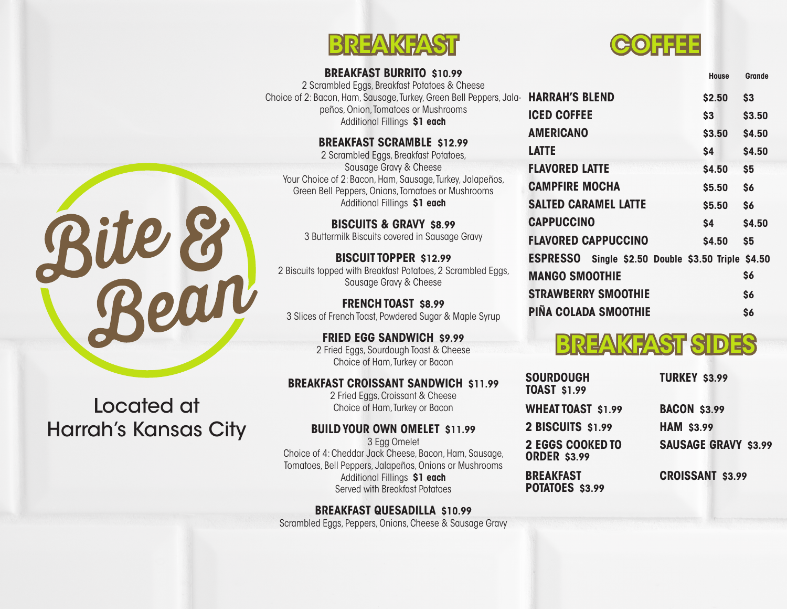



#### **BREAKFAST BURRITO \$10.99**

2 Scrambled Eggs, Breakfast Potatoes & Cheese Choice of 2: Bacon, Ham, Sausage, Turkey, Green Bell Peppers, Jalapeños, Onion, Tomatoes or Mushrooms Additional Fillings **\$1 each**

#### **BREAKFAST SCRAMBLE \$12.99**

2 Scrambled Eggs, Breakfast Potatoes, Sausage Gravy & Cheese Your Choice of 2: Bacon, Ham, Sausage, Turkey, Jalapeños, Green Bell Peppers, Onions, Tomatoes or Mushrooms Additional Fillings **\$1 each**

**BISCUITS & GRAVY \$8.99** 3 Buttermilk Biscuits covered in Sausage Gravy

**BISCUIT TOPPER \$12.99** 2 Biscuits topped with Breakfast Potatoes, 2 Scrambled Eggs, Sausage Gravy & Cheese

**FRENCH TOAST \$8.99** 3 Slices of French Toast, Powdered Sugar & Maple Syrup

> **FRIED EGG SANDWICH \$9.99** 2 Fried Eggs, Sourdough Toast & Cheese Choice of Ham, Turkey or Bacon

#### **BREAKFAST CROISSANT SANDWICH \$11.99**

2 Fried Eggs, Croissant & Cheese Choice of Ham, Turkey or Bacon

#### **BUILD YOUR OWN OMELET \$11.99**

3 Egg Omelet Choice of 4: Cheddar Jack Cheese, Bacon, Ham, Sausage, Tomatoes, Bell Peppers, Jalapeños, Onions or Mushrooms Additional Fillings **\$1 each** Served with Breakfast Potatoes

## **BREAKFAST QUESADILLA \$10.99**

Scrambled Eggs, Peppers, Onions, Cheese & Sausage Gravy

|                                                    |        | <b>House</b> | Grande |
|----------------------------------------------------|--------|--------------|--------|
| <b>HARRAH'S BLEND</b>                              | \$2.50 |              | \$3    |
| <b>ICED COFFEE</b>                                 | \$3    |              | \$3.50 |
| <b>AMERICANO</b>                                   |        | \$3.50       | \$4.50 |
| <b>LATTE</b>                                       | \$4    |              | \$4.50 |
| <b>FLAVORED LATTE</b>                              |        | \$4.50       | \$5    |
| <b>CAMPFIRE MOCHA</b>                              |        | \$5.50       | \$6    |
| <b>SALTED CARAMEL LATTE</b>                        |        | \$5.50       | \$6    |
| <b>CAPPUCCINO</b>                                  | S4     |              | \$4.50 |
| <b>FLAVORED CAPPUCCINO</b>                         | \$4.50 |              | \$5    |
| ESPRESSO Single \$2.50 Double \$3.50 Triple \$4.50 |        |              |        |
| <b>MANGO SMOOTHIE</b>                              |        |              | \$6    |
| <b>STRAWBERRY SMOOTHIE</b>                         |        |              | \$6    |
| <b>PINA COLADA SMOOTHIE</b>                        |        |              | \$6    |
|                                                    |        |              |        |

# BREAKFAST SIDES

| <b>SOURDOUGH</b><br><b>TOAST \$1.99</b>        | <b>TURKEY \$3.99</b>        |  |
|------------------------------------------------|-----------------------------|--|
| <b>WHEAT TOAST \$1.99</b>                      | <b>BACON \$3.99</b>         |  |
| 2 BISCUITS \$1.99                              | <b>HAM \$3.99</b>           |  |
| <b>2 EGGS COOKED TO</b><br><b>ORDER \$3.99</b> | <b>SAUSAGE GRAVY \$3.99</b> |  |
| <b>BREAKFAST</b><br>POTATOES \$3.99            | <b>CROISSANT \$3.99</b>     |  |



## Located at Harrah's Kansas City